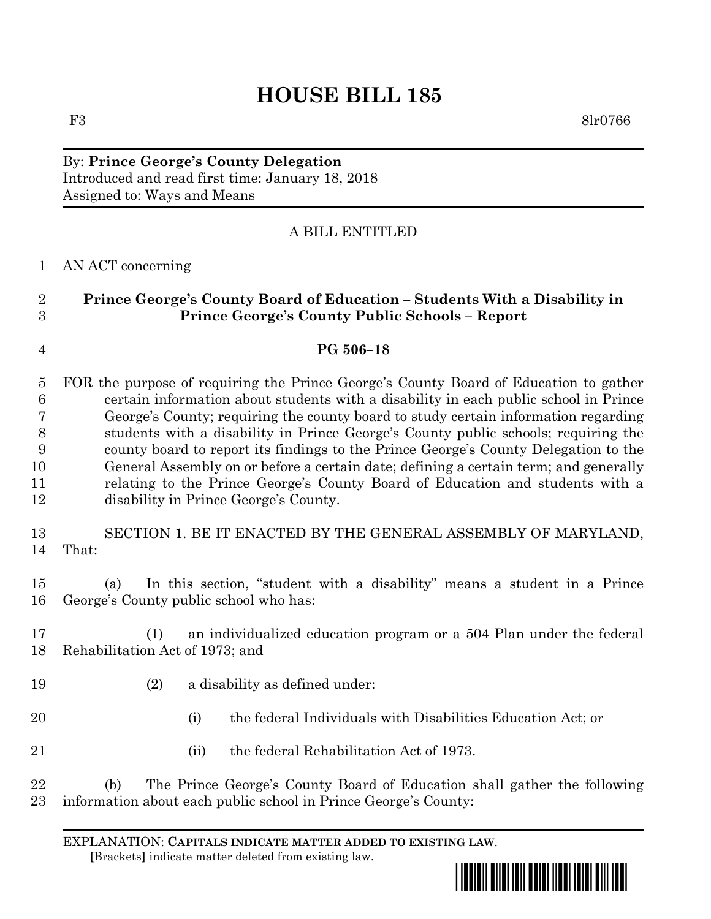# **HOUSE BILL 185**

F3 8lr0766

By: **Prince George's County Delegation** Introduced and read first time: January 18, 2018 Assigned to: Ways and Means

### A BILL ENTITLED

#### AN ACT concerning

## **Prince George's County Board of Education – Students With a Disability in Prince George's County Public Schools – Report**

#### **PG 506–18**

 FOR the purpose of requiring the Prince George's County Board of Education to gather certain information about students with a disability in each public school in Prince George's County; requiring the county board to study certain information regarding students with a disability in Prince George's County public schools; requiring the county board to report its findings to the Prince George's County Delegation to the General Assembly on or before a certain date; defining a certain term; and generally relating to the Prince George's County Board of Education and students with a disability in Prince George's County.

 SECTION 1. BE IT ENACTED BY THE GENERAL ASSEMBLY OF MARYLAND, That:

 (a) In this section, "student with a disability" means a student in a Prince George's County public school who has:

 (1) an individualized education program or a 504 Plan under the federal Rehabilitation Act of 1973; and

- (2) a disability as defined under:
- (i) the federal Individuals with Disabilities Education Act; or
- (ii) the federal Rehabilitation Act of 1973.

 (b) The Prince George's County Board of Education shall gather the following information about each public school in Prince George's County:

EXPLANATION: **CAPITALS INDICATE MATTER ADDED TO EXISTING LAW**.  **[**Brackets**]** indicate matter deleted from existing law.

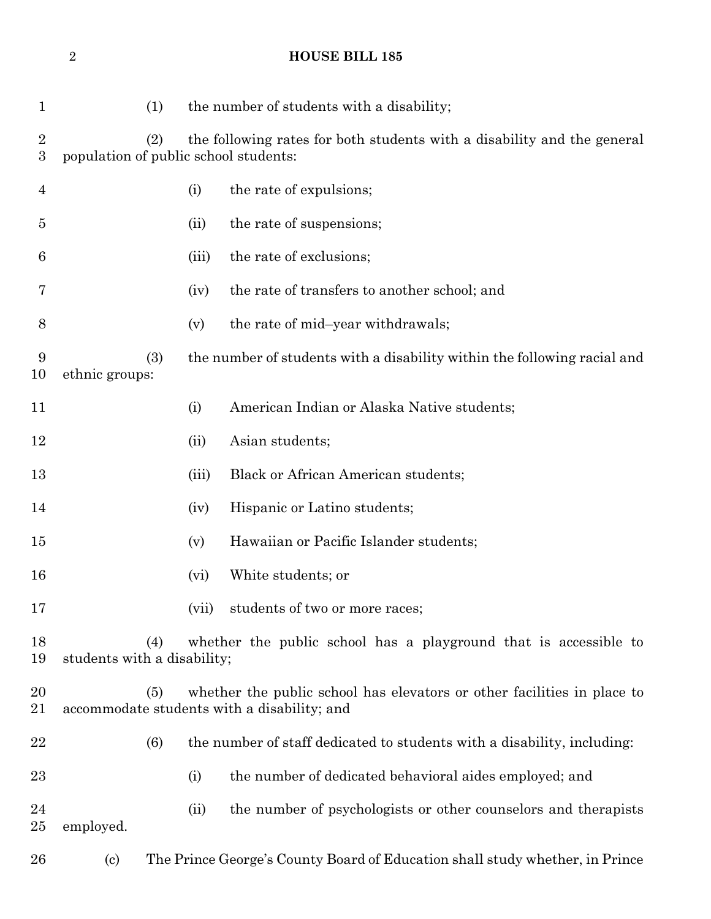## **HOUSE BILL 185**

| $\mathbf{1}$                         | (1)                                                                                                                           |                                                                                                 | the number of students with a disability;                                |  |
|--------------------------------------|-------------------------------------------------------------------------------------------------------------------------------|-------------------------------------------------------------------------------------------------|--------------------------------------------------------------------------|--|
| $\boldsymbol{2}$<br>$\boldsymbol{3}$ | (2)<br>the following rates for both students with a disability and the general<br>population of public school students:       |                                                                                                 |                                                                          |  |
| $\overline{4}$                       |                                                                                                                               | (i)                                                                                             | the rate of expulsions;                                                  |  |
| $\overline{5}$                       |                                                                                                                               | (ii)                                                                                            | the rate of suspensions;                                                 |  |
| 6                                    |                                                                                                                               | (iii)                                                                                           | the rate of exclusions;                                                  |  |
| 7                                    |                                                                                                                               | (iv)                                                                                            | the rate of transfers to another school; and                             |  |
| 8                                    |                                                                                                                               | (v)                                                                                             | the rate of mid-year withdrawals;                                        |  |
| 9<br>10                              | (3)<br>ethnic groups:                                                                                                         |                                                                                                 | the number of students with a disability within the following racial and |  |
| 11                                   |                                                                                                                               | (i)                                                                                             | American Indian or Alaska Native students;                               |  |
| 12                                   |                                                                                                                               | (ii)                                                                                            | Asian students;                                                          |  |
| 13                                   |                                                                                                                               | (iii)                                                                                           | <b>Black or African American students;</b>                               |  |
| 14                                   |                                                                                                                               | (iv)                                                                                            | Hispanic or Latino students;                                             |  |
| 15                                   |                                                                                                                               | (v)                                                                                             | Hawaiian or Pacific Islander students;                                   |  |
| 16                                   |                                                                                                                               | (vi)                                                                                            | White students; or                                                       |  |
| 17                                   |                                                                                                                               | (vii)                                                                                           | students of two or more races;                                           |  |
| 18<br>19                             | (4)                                                                                                                           | whether the public school has a playground that is accessible to<br>students with a disability; |                                                                          |  |
| 20<br>21                             | whether the public school has elevators or other facilities in place to<br>(5)<br>accommodate students with a disability; and |                                                                                                 |                                                                          |  |
| 22                                   | (6)                                                                                                                           |                                                                                                 | the number of staff dedicated to students with a disability, including:  |  |
| 23                                   |                                                                                                                               | (i)                                                                                             | the number of dedicated behavioral aides employed; and                   |  |
| 24<br>25                             | employed.                                                                                                                     | (ii)                                                                                            | the number of psychologists or other counselors and therapists           |  |
| 26                                   | $\left( \mathrm{c}\right)$                                                                                                    | The Prince George's County Board of Education shall study whether, in Prince                    |                                                                          |  |